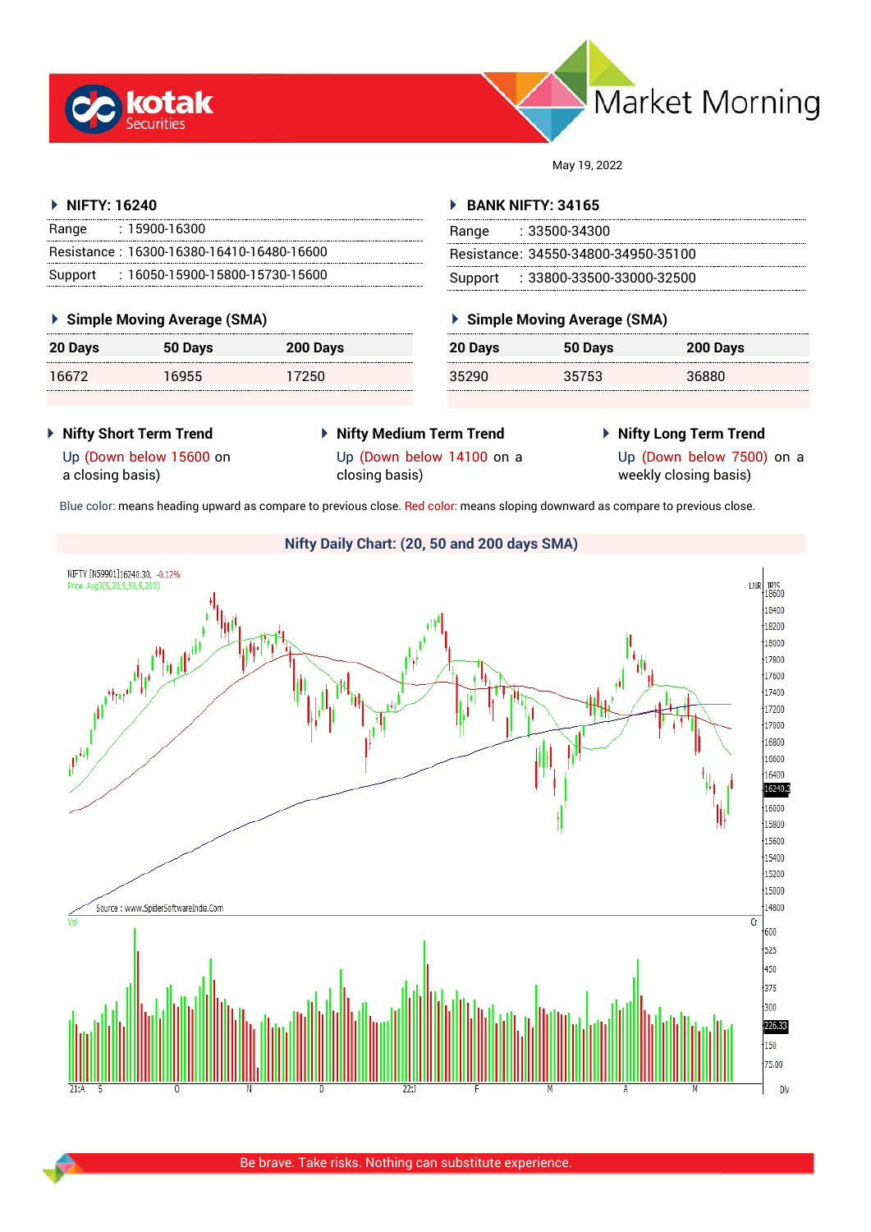



May 19, 2022

# **NIFTY: 16240**

| Range | : 15900-16300                             |
|-------|-------------------------------------------|
|       | Resistance: 16300-16380-16410-16480-16600 |
|       | Support: 16050-15900-15800-15730-15600    |

# **Simple Moving Average (SMA)**

| <b>20 Days</b> | 50 Days | 200 Days |
|----------------|---------|----------|
| 16672          | 16955   | 17250    |

# **BANK NIFTY: 34165**

| Range | : 33500-34300                       |
|-------|-------------------------------------|
|       | Resistance: 34550-34800-34950-35100 |
|       | Support: : 33800-33500-33000-32500  |

# **Simple Moving Average (SMA)**

| 20 Days | 50 Days | 200 Days |
|---------|---------|----------|
| 35290   | 35753   | 36880    |

- **Nifty Short Term Trend**
- **Nifty Medium Term Trend** Up (Down below 14100 on a closing basis)
- **Nifty Long Term Trend**

Up (Down below 15600 on a closing basis)

Up (Down below 7500) on a weekly closing basis)

Blue color: means heading upward as compare to previous close. Red color: means sloping downward as compare to previous close.

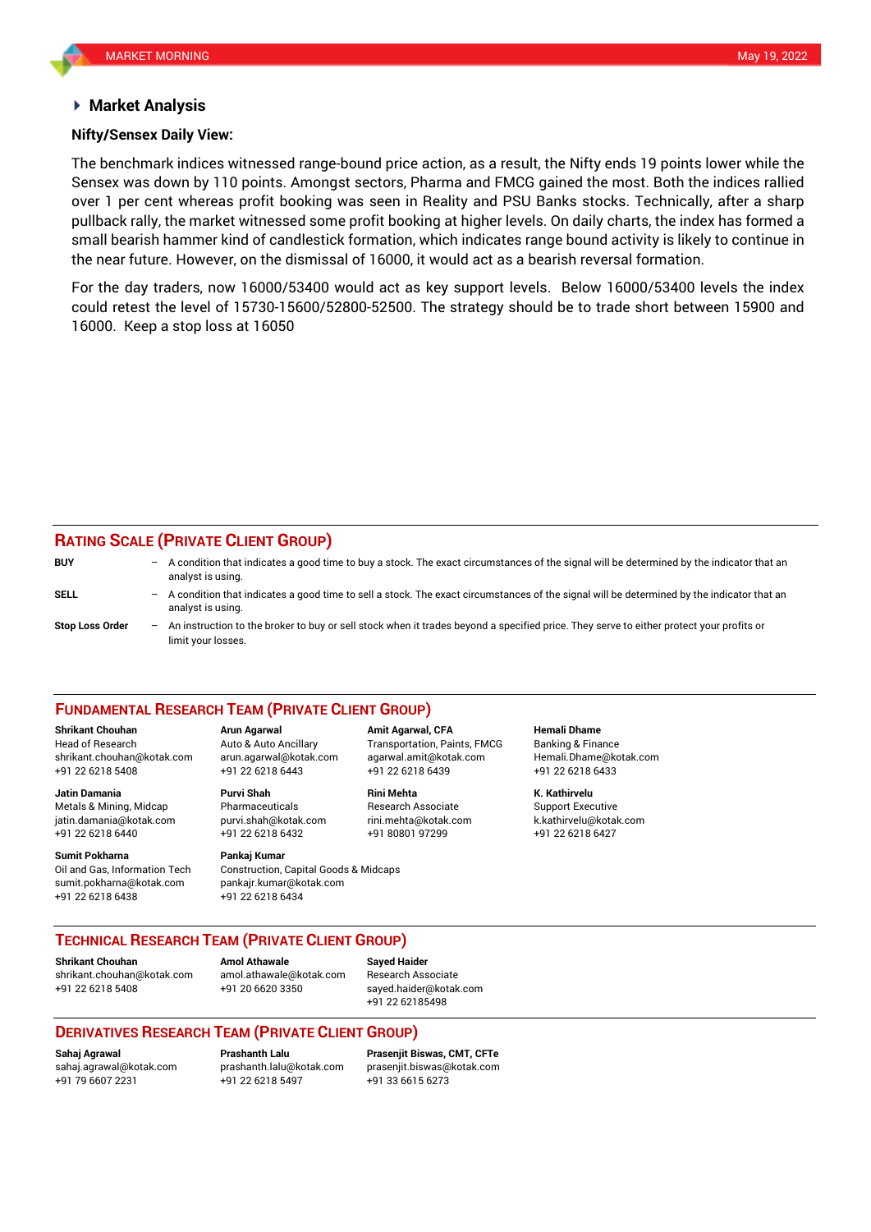## **Market Analysis**

## **Nifty/Sensex Daily View:**

The benchmark indices witnessed range-bound price action, as a result, the Nifty ends 19 points lower while the Sensex was down by 110 points. Amongst sectors, Pharma and FMCG gained the most. Both the indices rallied over 1 per cent whereas profit booking was seen in Reality and PSU Banks stocks. Technically, after a sharp pullback rally, the market witnessed some profit booking at higher levels. On daily charts, the index has formed a small bearish hammer kind of candlestick formation, which indicates range bound activity is likely to continue in the near future. However, on the dismissal of 16000, it would act as a bearish reversal formation.

For the day traders, now 16000/53400 would act as key support levels. Below 16000/53400 levels the index could retest the level of 15730-15600/52800-52500. The strategy should be to trade short between 15900 and 16000. Keep a stop loss at 16050

# **RATING SCALE (PRIVATE CLIENT GROUP)**

| <b>BUY</b>             |     | A condition that indicates a good time to buy a stock. The exact circumstances of the signal will be determined by the indicator that an<br>analyst is using.    |
|------------------------|-----|------------------------------------------------------------------------------------------------------------------------------------------------------------------|
| <b>SELL</b>            |     | - A condition that indicates a good time to sell a stock. The exact circumstances of the signal will be determined by the indicator that an<br>analyst is using. |
| <b>Stop Loss Order</b> | $-$ | An instruction to the broker to buy or sell stock when it trades beyond a specified price. They serve to either protect your profits or<br>limit your losses.    |

### **FUNDAMENTAL RESEARCH TEAM (PRIVATE CLIENT GROUP)**

Head of Research Auto & Auto Ancillary Transportation, Paints, FMCG Banking & Finance [shrikant.chouhan@kotak.com](mailto:shrikant.chouhan@kotak.com) arun.agarwal@kotak.com agarwal.amit@kotak.com Hemali.Dhame@kotak.com

**Jatin Damania Purvi Shah Rini Mehta K. Kathirvelu** Metals & Mining, Midcap **Research Associate** Research Associate Support Executive jatin.damania@kotak.com [purvi.shah@kotak.com](mailto:purvi.shah@kotak.com) rini.mehta@kotak.com [k.kathirvelu@kotak.com](mailto:k.kathirvelu@kotak.com) +91 22 6218 6440 +91 22 6218 6432 +91 80801 97299 +91 22 6218 6427

**Sumit Pokharna** Pankaj Kumar

sumit.pokharna@kotak.com pankajr.kumar@kotak.com +91 22 6218 6438 +91 22 6218 6434

**Shrikant Chouhan Arun Agarwal Amit Agarwal, CFA Hemali Dhame** +91 22 6218 5408 +91 22 6218 6443 +91 22 6218 6439 +91 22 6218 6433

Oil and Gas, Information Tech Construction, Capital Goods & Midcaps

**TECHNICAL RESEARCH TEAM (PRIVATE CLIENT GROUP)**

**Shrikant Chouhan Amol Athawale Sayed Haider**

[shrikant.chouhan@kotak.com](mailto:shrikant.chouhan@kotak.com) [amol.athawale@kotak.com](mailto:amol.athawale@kotak.com) Research Associate +91 22 6218 5408 +91 20 6620 3350 [sayed.haider@kotak.com](mailto:sayed.haider@kotak.com)

+91 22 62185498

# **DERIVATIVES RESEARCH TEAM (PRIVATE CLIENT GROUP)**

+91 22 6218 5497 +91 33 6615 6273

**Sahaj Agrawal Prashanth Lalu Prasenjit Biswas, CMT, CFTe** [sahaj.agrawal@kotak.com](mailto:sahaj.agrawal@kotak.com) [prashanth.lalu@kotak.com](mailto:prashanth.lalu@kotak.com) [prasenjit.biswas@kotak.com](mailto:prasenjit.biswas@kotak.com)